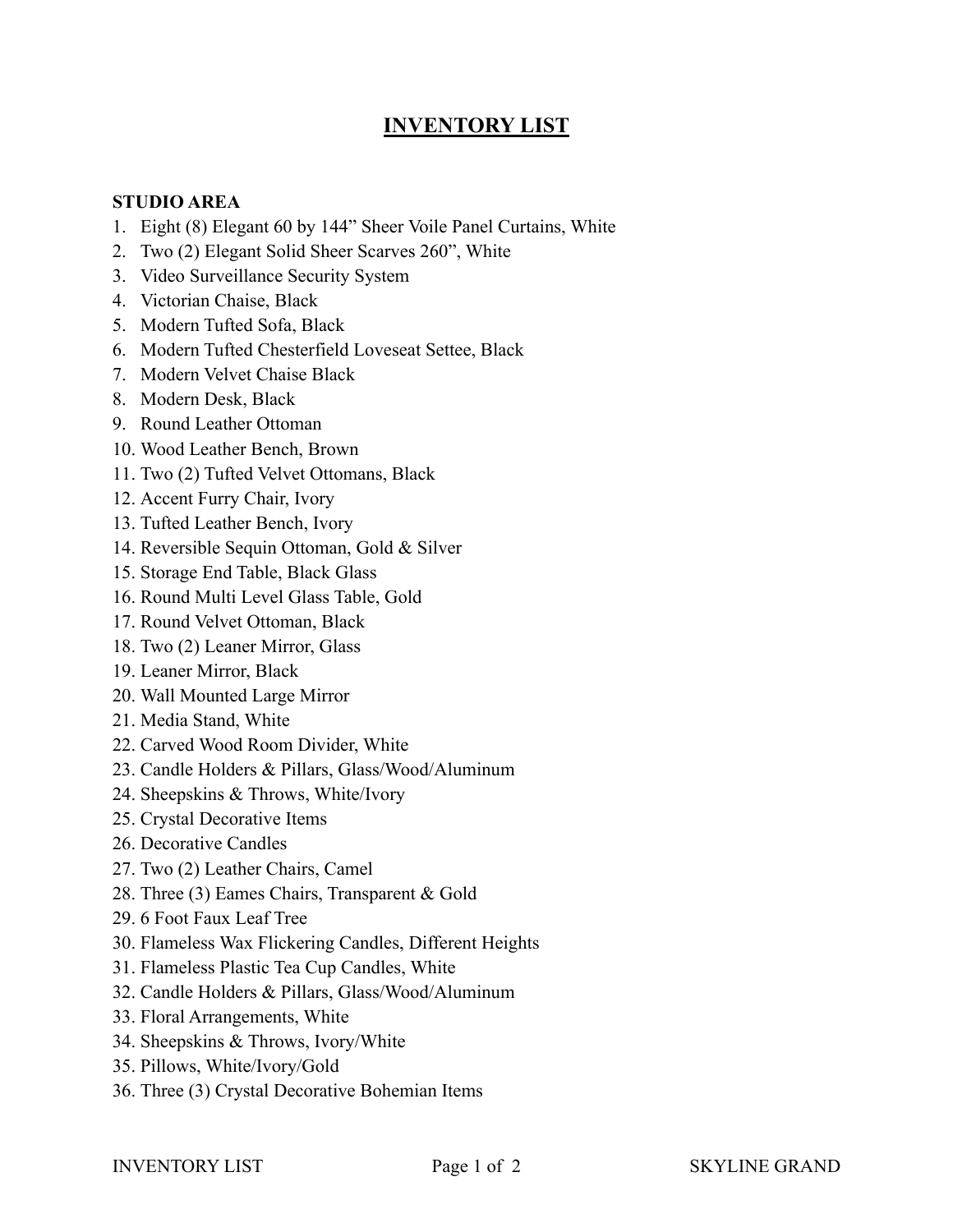## **INVENTORY LIST**

## **STUDIO AREA**

- 1. Eight (8) Elegant 60 by 144" Sheer Voile Panel Curtains, White
- 2. Two (2) Elegant Solid Sheer Scarves 260", White
- 3. Video Surveillance Security System
- 4. Victorian Chaise, Black
- 5. Modern Tufted Sofa, Black
- 6. Modern Tufted Chesterfield Loveseat Settee, Black
- 7. Modern Velvet Chaise Black
- 8. Modern Desk, Black
- 9. Round Leather Ottoman
- 10. Wood Leather Bench, Brown
- 11. Two (2) Tufted Velvet Ottomans, Black
- 12. Accent Furry Chair, Ivory
- 13. Tufted Leather Bench, Ivory
- 14. Reversible Sequin Ottoman, Gold & Silver
- 15. Storage End Table, Black Glass
- 16. Round Multi Level Glass Table, Gold
- 17. Round Velvet Ottoman, Black
- 18. Two (2) Leaner Mirror, Glass
- 19. Leaner Mirror, Black
- 20. Wall Mounted Large Mirror
- 21. Media Stand, White
- 22. Carved Wood Room Divider, White
- 23. Candle Holders & Pillars, Glass/Wood/Aluminum
- 24. Sheepskins & Throws, White/Ivory
- 25. Crystal Decorative Items
- 26. Decorative Candles
- 27. Two (2) Leather Chairs, Camel
- 28. Three (3) Eames Chairs, Transparent & Gold
- 29. 6 Foot Faux Leaf Tree
- 30. Flameless Wax Flickering Candles, Different Heights
- 31. Flameless Plastic Tea Cup Candles, White
- 32. Candle Holders & Pillars, Glass/Wood/Aluminum
- 33. Floral Arrangements, White
- 34. Sheepskins & Throws, Ivory/White
- 35. Pillows, White/Ivory/Gold
- 36. Three (3) Crystal Decorative Bohemian Items